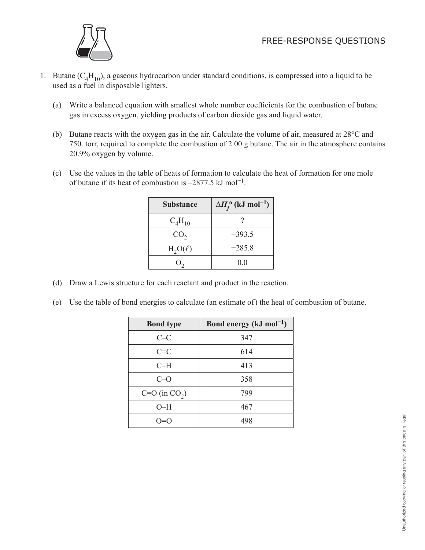

- 1. Butane  $(C_4H_{10})$ , a gaseous hydrocarbon under standard conditions, is compressed into a liquid to be used as a fuel in disposable lighters.
	- (a) Write a balanced equation with smallest whole number coefficients for the combustion of butane gas in excess oxygen, yielding products of carbon dioxide gas and liquid water.
	- (b) Butane reacts with the oxygen gas in the air. Calculate the volume of air, measured at 28°C and 750. torr, required to complete the combustion of 2.00 g butane. The air in the atmosphere contains 20.9% oxygen by volume.
	- (c) Use the values in the table of heats of formation to calculate the heat of formation for one mole of butane if its heat of combustion is  $-2877.5 \text{ kJ mol}^{-1}$ .

| <b>Substance</b> | $\Delta H_f^{\,\mathrm{o}}$ (kJ mol <sup>-1</sup> ) |
|------------------|-----------------------------------------------------|
| $C_4H_{10}$      |                                                     |
| CO <sub>2</sub>  | $-393.5$                                            |
| $H_2O(\ell)$     | $-285.8$                                            |
|                  | 0.0                                                 |

- (d) Draw a Lewis structure for each reactant and product in the reaction.
- (e) Use the table of bond energies to calculate (an estimate of) the heat of combustion of butane.

| <b>Bond type</b>  | Bond energy ( $kJ \text{ mol}^{-1}$ ) |
|-------------------|---------------------------------------|
| $C-C$             | 347                                   |
| $C = C$           | 614                                   |
| $C-H$             | 413                                   |
| $C-O$             | 358                                   |
| $C=O$ (in $CO2$ ) | 799                                   |
| $O-H$             | 467                                   |
|                   | 498                                   |